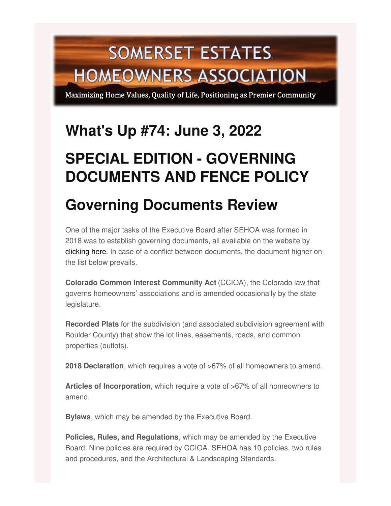# **SOMERSET ESTATES HOMEOWNERS ASSOCIATION**

Maximizing Home Values, Quality of Life, Positioning as Premier Community

# **What's Up #74: June 3, 2022**

# **SPECIAL EDITION - GOVERNING DOCUMENTS AND FENCE POLICY**

# **Governing Documents Review**

One of the major tasks of the Executive Board after SEHOA was formed in 2018 was to establish governing documents, all available on the website by [clicking](https://somersetestates-hoa.com/governing-documents) here. In case of a conflict between documents, the document higher on the list below prevails.

**Colorado Common Interest Community Act** (CCIOA), the Colorado law that governs homeowners' associations and is amended occasionally by the state legislature.

**Recorded Plats** for the subdivision (and associated subdivision agreement with Boulder County) that show the lot lines, easements, roads, and common properties (outlots).

**2018 Declaration**, which requires a vote of >67% of all homeowners to amend.

**Articles of Incorporation**, which require a vote of >67% of all homeowners to amend.

**Bylaws**, which may be amended by the Executive Board.

**Policies, Rules, and Regulations**, which may be amended by the Executive Board. Nine policies are required by CCIOA. SEHOA has 10 policies, two rules and procedures, and the Architectural & Landscaping Standards.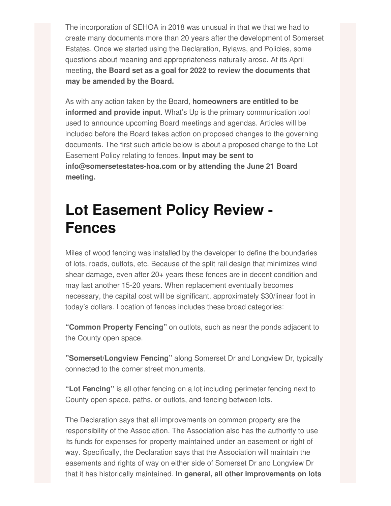The incorporation of SEHOA in 2018 was unusual in that we that we had to create many documents more than 20 years after the development of Somerset Estates. Once we started using the Declaration, Bylaws, and Policies, some questions about meaning and appropriateness naturally arose. At its April meeting, **the Board set as a goal for 2022 to review the documents that may be amended by the Board.**

As with any action taken by the Board, **homeowners are entitled to be informed and provide input**. What's Up is the primary communication tool used to announce upcoming Board meetings and agendas. Articles will be included before the Board takes action on proposed changes to the governing documents. The first such article below is about a proposed change to the Lot Easement Policy relating to fences. **Input may be sent to info@somersetestates-hoa.com or by attending the June 21 Board meeting.**

# **Lot Easement Policy Review - Fences**

Miles of wood fencing was installed by the developer to define the boundaries of lots, roads, outlots, etc. Because of the split rail design that minimizes wind shear damage, even after 20+ years these fences are in decent condition and may last another 15-20 years. When replacement eventually becomes necessary, the capital cost will be significant, approximately \$30/linear foot in today's dollars. Location of fences includes these broad categories:

**"Common Property Fencing"** on outlots, such as near the ponds adjacent to the County open space.

**"Somerset/Longview Fencing"** along Somerset Dr and Longview Dr, typically connected to the corner street monuments.

**"Lot Fencing"** is all other fencing on a lot including perimeter fencing next to County open space, paths, or outlots, and fencing between lots.

The Declaration says that all improvements on common property are the responsibility of the Association. The Association also has the authority to use its funds for expenses for property maintained under an easement or right of way. Specifically, the Declaration says that the Association will maintain the easements and rights of way on either side of Somerset Dr and Longview Dr that it has historically maintained. **In general, all other improvements on lots**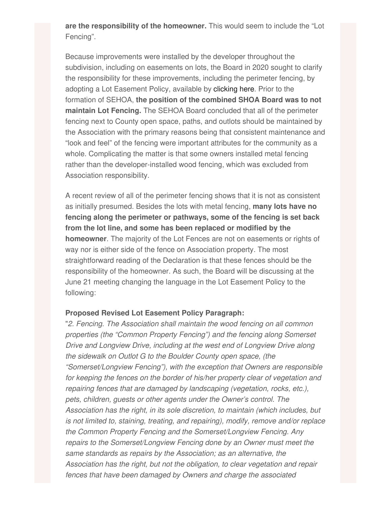**are the responsibility of the homeowner.** This would seem to include the "Lot Fencing".

Because improvements were installed by the developer throughout the subdivision, including on easements on lots, the Board in 2020 sought to clarify the responsibility for these improvements, including the perimeter fencing, by adopting a Lot Easement Policy, available by [clicking](https://img1.wsimg.com/blobby/go/4aee7816-bbf5-4a77-9139-f2a956e07452/downloads/SEHOA~Lot Easement Policy~2020.pdf?ver=1652981041867) here. Prior to the formation of SEHOA, **the position of the combined SHOA Board was to not maintain Lot Fencing.** The SEHOA Board concluded that all of the perimeter fencing next to County open space, paths, and outlots should be maintained by the Association with the primary reasons being that consistent maintenance and "look and feel" of the fencing were important attributes for the community as a whole. Complicating the matter is that some owners installed metal fencing rather than the developer-installed wood fencing, which was excluded from Association responsibility.

A recent review of all of the perimeter fencing shows that it is not as consistent as initially presumed. Besides the lots with metal fencing, **many lots have no fencing along the perimeter or pathways, some of the fencing is set back from the lot line, and some has been replaced or modified by the homeowner**. The majority of the Lot Fences are not on easements or rights of way nor is either side of the fence on Association property. The most straightforward reading of the Declaration is that these fences should be the responsibility of the homeowner. As such, the Board will be discussing at the June 21 meeting changing the language in the Lot Easement Policy to the following:

#### **Proposed Revised Lot Easement Policy Paragraph:**

"*2. Fencing. The Association shall maintain the wood fencing on all common properties (the "Common Property Fencing") and the fencing along Somerset Drive and Longview Drive, including at the west end of Longview Drive along the sidewalk on Outlot G to the Boulder County open space, (the "Somerset/Longview Fencing"), with the exception that Owners are responsible for keeping the fences on the border of his/her property clear of vegetation and repairing fences that are damaged by landscaping (vegetation, rocks, etc.), pets, children, guests or other agents under the Owner's control. The Association has the right, in its sole discretion, to maintain (which includes, but is not limited to, staining, treating, and repairing), modify, remove and/or replace the Common Property Fencing and the Somerset/Longview Fencing. Any repairs to the Somerset/Longview Fencing done by an Owner must meet the same standards as repairs by the Association; as an alternative, the Association has the right, but not the obligation, to clear vegetation and repair fences that have been damaged by Owners and charge the associated*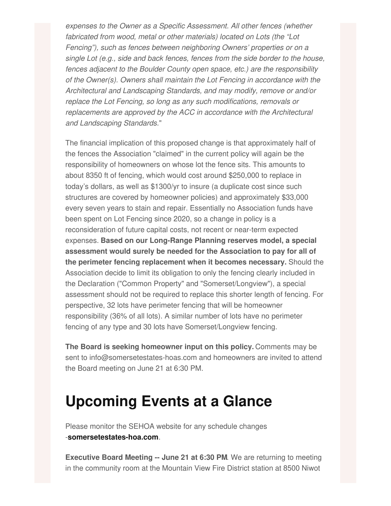*expenses to the Owner as a Specific Assessment. All other fences (whether fabricated from wood, metal or other materials) located on Lots (the "Lot Fencing"), such as fences between neighboring Owners' properties or on a single Lot (e.g., side and back fences, fences from the side border to the house, fences adjacent to the Boulder County open space, etc.) are the responsibility of the Owner(s). Owners shall maintain the Lot Fencing in accordance with the Architectural and Landscaping Standards, and may modify, remove or and/or replace the Lot Fencing, so long as any such modifications, removals or replacements are approved by the ACC in accordance with the Architectural and Landscaping Standards.*"

The financial implication of this proposed change is that approximately half of the fences the Association "claimed" in the current policy will again be the responsibility of homeowners on whose lot the fence sits. This amounts to about 8350 ft of fencing, which would cost around \$250,000 to replace in today's dollars, as well as \$1300/yr to insure (a duplicate cost since such structures are covered by homeowner policies) and approximately \$33,000 every seven years to stain and repair. Essentially no Association funds have been spent on Lot Fencing since 2020, so a change in policy is a reconsideration of future capital costs, not recent or near-term expected expenses. **Based on our Long-Range Planning reserves model, a special assessment would surely be needed for the Association to pay for all of the perimeter fencing replacement when it becomes necessary.** Should the Association decide to limit its obligation to only the fencing clearly included in the Declaration ("Common Property" and "Somerset/Longview"), a special assessment should not be required to replace this shorter length of fencing. For perspective, 32 lots have perimeter fencing that will be homeowner responsibility (36% of all lots). A similar number of lots have no perimeter fencing of any type and 30 lots have Somerset/Longview fencing.

**The Board is seeking homeowner input on this policy.** Comments may be sent to info@somersetestates-hoas.com and homeowners are invited to attend the Board meeting on June 21 at 6:30 PM.

# **Upcoming Events at a Glance**

Please monitor the SEHOA website for any schedule changes -**[somersetestates-hoa.com](https://somersetestates-hoa.com/)**.

**Executive Board Meeting -- June 21 at 6:30 PM**. We are returning to meeting in the community room at the Mountain View Fire District station at 8500 Niwot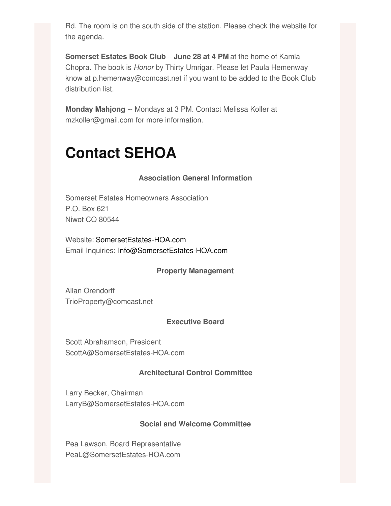Rd. The room is on the south side of the station. Please check the website for the agenda.

**Somerset Estates Book Club** -- **June 28 at 4 PM** at the home of Kamla Chopra. The book is *Honor* by Thirty Umrigar. Please let Paula Hemenway know at p.hemenway@comcast.net if you want to be added to the Book Club distribution list.

**Monday Mahjong** -- Mondays at 3 PM. Contact Melissa Koller at mzkoller@gmail.com for more information.

# **Contact SEHOA**

### **Association General Information**

Somerset Estates Homeowners Association P.O. Box 621 Niwot CO 80544

Website: [SomersetEstates-HOA.com](http://somersetestates-hoa.com) Email Inquiries: [Info@SomersetEstates-HOA.com](mailto:Info@SomersetEstates-HOA.com)

### **Property Management**

Allan Orendorff TrioProperty@comcast.net

### **Executive Board**

Scott Abrahamson, President ScottA@SomersetEstates-HOA.com

### **Architectural Control Committee**

Larry Becker, Chairman LarryB@SomersetEstates-HOA.com

### **Social and Welcome Committee**

Pea Lawson, Board Representative PeaL@SomersetEstates-HOA.com